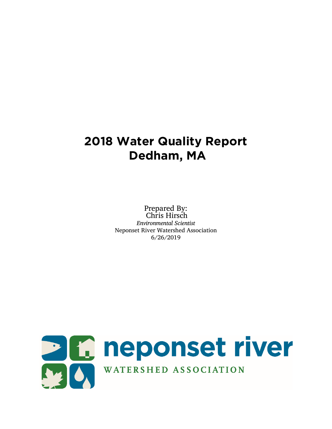# **2018 Water Quality Report Dedham, MA**

Prepared By: Chris Hirsch *Environmental Scientist* Neponset River Watershed Association 6/26/2019

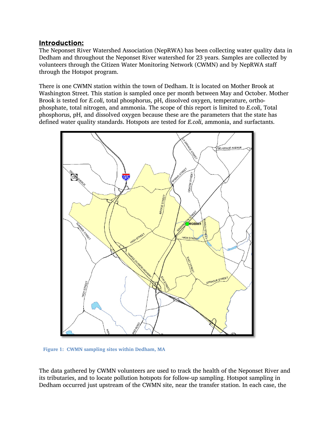## Introduction:

The Neponset River Watershed Association (NepRWA) has been collecting water quality data in Dedham and throughout the Neponset River watershed for 23 years. Samples are collected by volunteers through the Citizen Water Monitoring Network (CWMN) and by NepRWA staff through the Hotspot program.

There is one CWMN station within the town of Dedham. It is located on Mother Brook at Washington Street. This station is sampled once per month between May and October. Mother Brook is tested for *E.coli*, total phosphorus, pH, dissolved oxygen, temperature, orthophosphate, total nitrogen, and ammonia. The scope of this report is limited to *E.coli*, Total phosphorus, pH, and dissolved oxygen because these are the parameters that the state has defined water quality standards. Hotspots are tested for *E.coli*, ammonia, and surfactants.



**Figure 1: CWMN sampling sites within Dedham, MA**

The data gathered by CWMN volunteers are used to track the health of the Neponset River and its tributaries, and to locate pollution hotspots for follow-up sampling. Hotspot sampling in Dedham occurred just upstream of the CWMN site, near the transfer station. In each case, the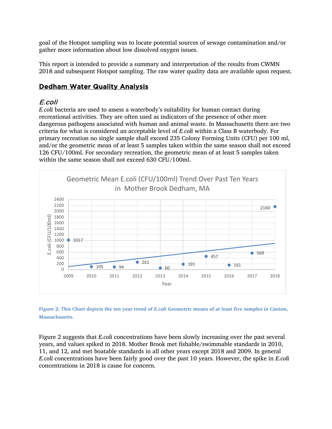goal of the Hotspot sampling was to locate potential sources of sewage contamination and/or gather more information about low dissolved oxygen issues.

This report is intended to provide a summary and interpretation of the results from CWMN 2018 and subsequent Hotspot sampling. The raw water quality data are available upon request.

## Dedham Water Quality Analysis

### E.coli

*E.coli* bacteria are used to assess a waterbody's suitability for human contact during recreational activities. They are often used as indicators of the presence of other more dangerous pathogens associated with human and animal waste. In Massachusetts there are two criteria for what is considered an acceptable level of *E.coli* within a Class B waterbody. For primary recreation no single sample shall exceed 235 Colony Forming Units (CFU) per 100 ml, and/or the geometric mean of at least 5 samples taken within the same season shall not exceed 126 CFU/100ml. For secondary recreation, the geometric mean of at least 5 samples taken within the same season shall not exceed 630 CFU/100ml.





Figure 2 suggests that *E.coli* concentrations have been slowly increasing over the past several years, and values spiked in 2018. Mother Brook met fishable/swimmable standards in 2010, 11, and 12, and met boatable standards in all other years except 2018 and 2009. In general *E.coli* concentrations have been fairly good over the past 10 years. However, the spike in *E.coli* concentrations in 2018 is cause for concern.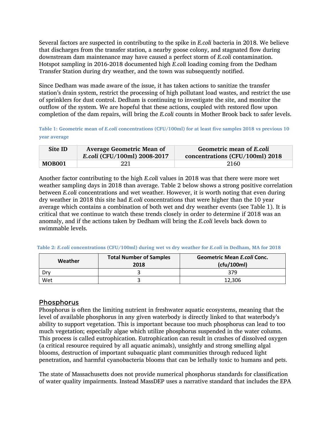Several factors are suspected in contributing to the spike in *E.coli* bacteria in 2018. We believe that discharges from the transfer station, a nearby goose colony, and stagnated flow during downstream dam maintenance may have caused a perfect storm of *E.coli* contamination. Hotspot sampling in 2016-2018 documented high *E.coli* loading coming from the Dedham Transfer Station during dry weather, and the town was subsequently notified.

Since Dedham was made aware of the issue, it has taken actions to sanitize the transfer station's drain system, restrict the processing of high pollutant load wastes, and restrict the use of sprinklers for dust control. Dedham is continuing to investigate the site, and monitor the outflow of the system. We are hopeful that these actions, coupled with restored flow upon completion of the dam repairs, will bring the *E.coli* counts in Mother Brook back to safer levels.

**Table 1: Geometric mean of** *E.coli* **concentrations (CFU/100ml) for at least five samples 2018 vs previous 10 year average**

| Site ID | <b>Average Geometric Mean of</b><br>E.coli (CFU/100ml) 2008-2017 | Geometric mean of E.coli<br>concentrations (CFU/100ml) 2018 |
|---------|------------------------------------------------------------------|-------------------------------------------------------------|
| MOB001  | 221                                                              | 2160                                                        |

Another factor contributing to the high *E.coli* values in 2018 was that there were more wet weather sampling days in 2018 than average. Table 2 below shows a strong positive correlation between *E.coli* concentrations and wet weather. However, it is worth noting that even during dry weather in 2018 this site had *E.coli* concentrations that were higher than the 10 year average which contains a combination of both wet and dry weather events (see Table 1). It is critical that we continue to watch these trends closely in order to determine if 2018 was an anomaly, and if the actions taken by Dedham will bring the *E.coli* levels back down to swimmable levels.

| Table 2: E.coli concentrations (CFU/100ml) during wet vs dry weather for E.coli in Dedham, MA for 2018 |  |  |  |  |  |
|--------------------------------------------------------------------------------------------------------|--|--|--|--|--|
|--------------------------------------------------------------------------------------------------------|--|--|--|--|--|

| <b>Total Number of Samples</b><br>Weather<br>2018 |  | <b>Geometric Mean E.coli Conc.</b><br>(cfu/100ml) |  |
|---------------------------------------------------|--|---------------------------------------------------|--|
| Drv                                               |  | 379                                               |  |
| Wet                                               |  | 12.306                                            |  |

## Phosphorus

Phosphorus is often the limiting nutrient in freshwater aquatic ecosystems, meaning that the level of available phosphorus in any given waterbody is directly linked to that waterbody's ability to support vegetation. This is important because too much phosphorus can lead to too much vegetation; especially algae which utilize phosphorus suspended in the water column. This process is called eutrophication. Eutrophication can result in crashes of dissolved oxygen (a critical resource required by all aquatic animals), unsightly and strong smelling algal blooms, destruction of important subaquatic plant communities through reduced light penetration, and harmful cyanobacteria blooms that can be lethally toxic to humans and pets.

The state of Massachusetts does not provide numerical phosphorus standards for classification of water quality impairments. Instead MassDEP uses a narrative standard that includes the EPA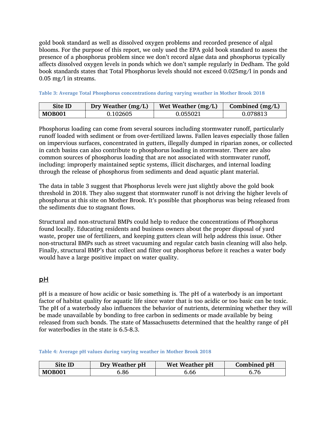gold book standard as well as dissolved oxygen problems and recorded presence of algal blooms. For the purpose of this report, we only used the EPA gold book standard to assess the presence of a phosphorus problem since we don't record algae data and phosphorus typically affects dissolved oxygen levels in ponds which we don't sample regularly in Dedham. The gold book standards states that Total Phosphorus levels should not exceed 0.025mg/l in ponds and 0.05 mg/l in streams.

| Site ID       | Dry Weather $(mg/L)$ | Wet Weather $(mg/L)$ | Combined $(mg/L)$ |
|---------------|----------------------|----------------------|-------------------|
| <b>MOB001</b> | 0.102605             | 0.055021             | 0.078813          |

**Table 3: Average Total Phosphorus concentrations during varying weather in Mother Brook 2018** 

Phosphorus loading can come from several sources including stormwater runoff, particularly runoff loaded with sediment or from over-fertilized lawns. Fallen leaves especially those fallen on impervious surfaces, concentrated in gutters, illegally dumped in riparian zones, or collected in catch basins can also contribute to phosphorus loading in stormwater. There are also common sources of phosphorus loading that are not associated with stormwater runoff, including: improperly maintained septic systems, illicit discharges, and internal loading through the release of phosphorus from sediments and dead aquatic plant material.

The data in table 3 suggest that Phosphorus levels were just slightly above the gold book threshold in 2018. They also suggest that stormwater runoff is not driving the higher levels of phosphorus at this site on Mother Brook. It's possible that phosphorus was being released from the sediments due to stagnant flows.

Structural and non-structural BMPs could help to reduce the concentrations of Phosphorus found locally. Educating residents and business owners about the proper disposal of yard waste, proper use of fertilizers, and keeping gutters clean will help address this issue. Other non-structural BMPs such as street vacuuming and regular catch basin cleaning will also help. Finally, structural BMP's that collect and filter out phosphorus before it reaches a water body would have a large positive impact on water quality.

# pH

pH is a measure of how acidic or basic something is. The pH of a waterbody is an important factor of habitat quality for aquatic life since water that is too acidic or too basic can be toxic. The pH of a waterbody also influences the behavior of nutrients, determining whether they will be made unavailable by bonding to free carbon in sediments or made available by being released from such bonds. The state of Massachusetts determined that the healthy range of pH for waterbodies in the state is 6.5-8.3.

**Table 4: Average pH values during varying weather in Mother Brook 2018**

| Site ID       | Dry Weather pH | Wet Weather pH | Combined pH |
|---------------|----------------|----------------|-------------|
| <b>MOB001</b> | 6.86           | 6.66           |             |